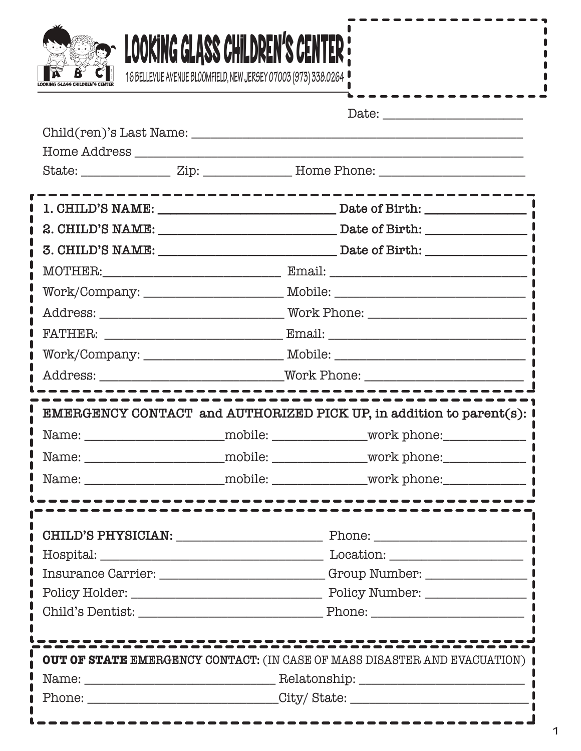

ſ  $\blacksquare$ ı

Π

Π

ı ı

 $\bullet$ 

0  $\blacksquare$ Π

> 1 L

> Î

г

0

ſ ı L

ı

| IX B | <u>LUUNINU ULHOO UNILLIKLIN O ULIN I LK ;</u><br>16 BELLEVUE AVENUE BLOOMFIELD, NEW JERSEY 07003 (973) 338.0264 |                                                                                    |
|------|-----------------------------------------------------------------------------------------------------------------|------------------------------------------------------------------------------------|
|      |                                                                                                                 | ---------------                                                                    |
|      |                                                                                                                 |                                                                                    |
|      |                                                                                                                 |                                                                                    |
|      |                                                                                                                 |                                                                                    |
|      |                                                                                                                 |                                                                                    |
|      |                                                                                                                 |                                                                                    |
|      |                                                                                                                 |                                                                                    |
|      |                                                                                                                 | 3. CHILD'S NAME: Date of Birth:                                                    |
|      |                                                                                                                 |                                                                                    |
|      |                                                                                                                 | Work/Company: __________________________ Mobile: _______________________________   |
|      |                                                                                                                 |                                                                                    |
|      |                                                                                                                 |                                                                                    |
|      |                                                                                                                 |                                                                                    |
|      |                                                                                                                 |                                                                                    |
|      |                                                                                                                 |                                                                                    |
|      |                                                                                                                 | EMERGENCY CONTACT and AUTHORIZED PICK UP, in addition to parent(s): I              |
|      |                                                                                                                 | Name: _________________________mobile: ________________work phone: _____________   |
|      |                                                                                                                 |                                                                                    |
|      |                                                                                                                 | Name: _________________________mobile: _______________work phone: _______________  |
|      | ----------------                                                                                                |                                                                                    |
|      |                                                                                                                 |                                                                                    |
|      |                                                                                                                 | $\text{Hospital:}\n \underline{\hspace{2cm}}$                                      |
|      |                                                                                                                 | Insurance Carrier: ________________________Group Number: _______________________   |
|      |                                                                                                                 |                                                                                    |
|      |                                                                                                                 |                                                                                    |
|      |                                                                                                                 |                                                                                    |
|      |                                                                                                                 | <b>OUT OF STATE EMERGENCY CONTACT:</b> (IN CASE OF MASS DISASTER AND EVACUATION) ( |
|      |                                                                                                                 |                                                                                    |
|      |                                                                                                                 |                                                                                    |

 $\blacksquare$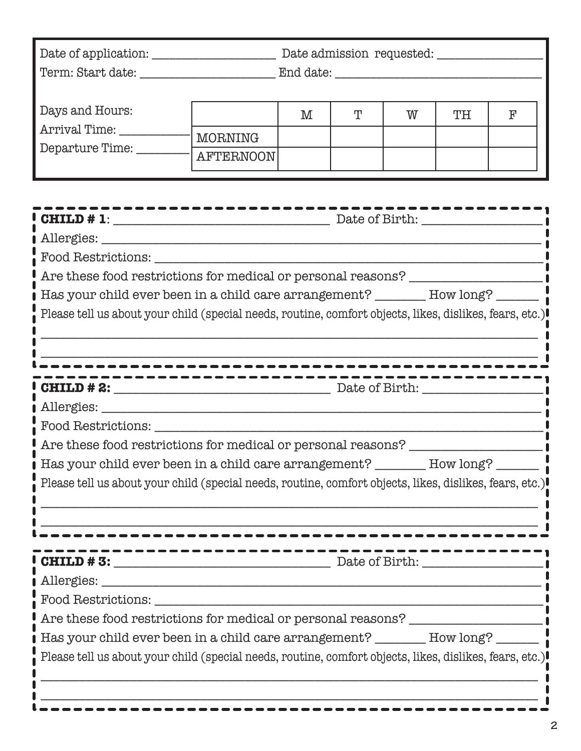|                                                            | Date admission requested: __________ |   |   |    |                |  |
|------------------------------------------------------------|--------------------------------------|---|---|----|----------------|--|
| Days and Hours:<br>Arrival Time:<br>Departure Time: ______ | M<br><b>AFTERNOON</b>                | T | W | TH | F              |  |
| $\frac{1}{2}$ CHILD # 1:<br>Food Restrictions:             |                                      |   |   |    | Date of Birth: |  |

| $\perp$ Are these food restrictions for medical or personal reasons? |  |
|----------------------------------------------------------------------|--|
|----------------------------------------------------------------------|--|

| Has your child ever been in a child care arrangement? | How long? |
|-------------------------------------------------------|-----------|
|                                                       |           |

| Please tell us about your child (special needs, routine, comfort objects, likes, dislikes, fears, etc.) |  |  |  |  |  |
|---------------------------------------------------------------------------------------------------------|--|--|--|--|--|
|---------------------------------------------------------------------------------------------------------|--|--|--|--|--|

\_\_\_\_\_\_\_\_\_\_\_\_\_\_\_\_\_\_\_\_\_\_\_\_\_\_\_\_\_\_\_\_\_\_\_\_\_\_\_\_\_\_\_\_\_\_\_\_\_\_\_\_\_\_\_\_\_\_\_\_\_\_\_\_\_\_\_\_\_\_\_\_\_\_\_\_\_\_

| CHILD # 2:                                                                |  |
|---------------------------------------------------------------------------|--|
|                                                                           |  |
| Food Restrictions: Network of Restrictions .                              |  |
| Are these food restrictions for medical or personal reasons?              |  |
| Has your child ever been in a child care arrangement? _______ How long? _ |  |

Please tell us about your child (special needs, routine, comfort objects, likes, dislikes, fears, etc.)

\_\_\_\_\_\_\_\_\_\_\_\_\_\_\_\_\_\_\_\_\_\_\_\_\_\_\_\_\_\_\_\_\_\_\_\_\_\_\_\_\_\_\_\_\_\_\_\_\_\_\_\_\_\_\_\_\_\_\_\_\_\_\_\_\_\_\_\_\_\_\_\_\_\_\_\_\_\_

\_\_\_\_\_\_\_\_\_\_\_\_\_\_\_\_\_\_\_\_\_\_\_\_\_\_\_\_\_\_\_\_\_\_\_\_\_\_\_\_\_\_\_\_\_\_\_\_\_\_\_\_\_\_\_\_\_\_\_\_\_\_\_\_\_\_\_\_\_\_\_\_\_\_\_\_\_\_

**CHILD # 3:** \_\_\_\_\_\_\_\_\_\_\_\_\_\_\_\_\_\_\_\_\_\_\_\_\_\_\_\_\_\_\_\_\_\_ Date of Birth: \_\_\_\_\_\_\_\_\_\_\_\_\_\_\_\_\_\_\_

Allergies: \_\_\_\_\_\_\_\_\_\_\_\_\_\_\_\_\_\_\_\_\_\_\_\_\_\_\_\_\_\_\_\_\_\_\_\_\_\_\_\_\_\_\_\_\_\_\_\_\_\_\_\_\_\_\_\_\_\_\_\_\_\_\_\_\_\_\_\_\_

Food Restrictions: \_\_\_\_\_\_\_\_\_\_\_\_\_\_\_\_\_\_\_\_\_\_\_\_\_\_\_\_\_\_\_\_\_\_\_\_\_\_\_\_\_\_\_\_\_\_\_\_\_\_\_\_\_\_\_\_\_\_\_\_\_

Are these food restrictions for medical or personal reasons? \_\_\_\_\_\_\_\_\_\_\_\_\_\_\_\_\_\_\_\_

Has your child ever been in a child care arrangement? \_\_\_\_\_\_\_\_ How long? \_\_\_\_\_\_\_

\_\_\_\_\_\_\_\_\_\_\_\_\_\_\_\_\_\_\_\_\_\_\_\_\_\_\_\_\_\_\_\_\_\_\_\_\_\_\_\_\_\_\_\_\_\_\_\_\_\_\_\_\_\_\_\_\_\_\_\_\_\_\_\_\_\_\_\_\_\_\_\_\_\_\_\_\_\_

\_\_\_\_\_\_\_\_\_\_\_\_\_\_\_\_\_\_\_\_\_\_\_\_\_\_\_\_\_\_\_\_\_\_\_\_\_\_\_\_\_\_\_\_\_\_\_\_\_\_\_\_\_\_\_\_\_\_\_\_\_\_\_\_\_\_\_\_\_\_\_\_\_\_\_\_\_\_

Please tell us about your child (special needs, routine, comfort objects, likes, dislikes, fears, etc.)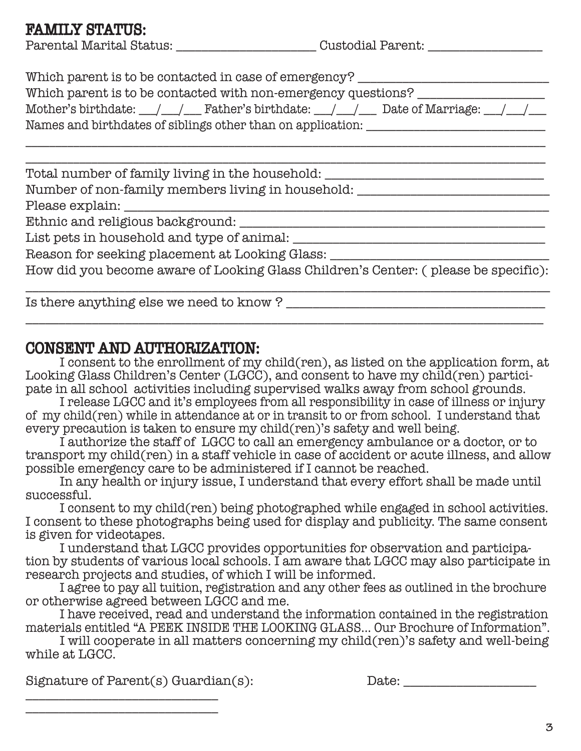## FAMILY STATUS:

| Parental Marital Status: |  |
|--------------------------|--|
|--------------------------|--|

 $\begin{array}{c}\text{Custoidal Parent:}\end{array}$ 

\_\_\_\_\_\_\_\_\_\_\_\_\_\_\_\_\_\_\_\_\_\_\_\_\_\_\_\_\_\_\_\_\_\_\_\_\_\_\_\_\_\_\_\_\_\_\_\_\_\_\_\_\_\_\_\_\_\_\_\_\_\_\_\_\_\_\_\_\_\_\_\_\_\_\_\_\_\_\_

| Which parent is to be contacted in case of emergency?                                                                             |
|-----------------------------------------------------------------------------------------------------------------------------------|
| Which parent is to be contacted with non-emergency questions?                                                                     |
| Mother's birthdate: $\_\_\_\_\_\_\_\$ Father's birthdate: $\_\_\_\_\_\_\_\$ Date of Marriage: $\_\_\_\_\_\_\_\_\_\_\_\_\_\_\_\_\$ |
| Names and birthdates of siblings other than on application:                                                                       |

\_\_\_\_\_\_\_\_\_\_\_\_\_\_\_\_\_\_\_\_\_\_\_\_\_\_\_\_\_\_\_\_\_\_\_\_\_\_\_\_\_\_\_\_\_\_\_\_\_\_\_\_\_\_\_\_\_\_\_\_\_\_\_\_\_\_\_\_\_\_\_\_\_\_\_\_\_\_\_\_\_\_\_\_\_\_\_

\_\_\_\_\_\_\_\_\_\_\_\_\_\_\_\_\_\_\_\_\_\_\_\_\_\_\_\_\_\_\_\_\_\_\_\_\_\_\_\_\_\_\_\_\_\_\_\_\_\_\_\_\_\_\_\_\_\_\_\_\_\_\_\_\_\_\_\_\_\_\_\_\_\_\_\_\_\_\_\_\_\_\_\_\_\_\_ Total number of family living in the household: \_\_\_\_\_\_\_\_\_\_\_\_\_\_\_\_\_\_\_\_\_\_\_\_\_\_\_\_\_\_\_\_

Number of non-family members living in household: \_\_\_\_\_\_\_\_\_\_\_\_\_\_\_\_\_\_\_\_\_\_\_\_\_\_\_\_\_\_

Please explain: \_\_\_\_\_\_\_\_\_\_\_\_\_\_\_\_\_\_\_\_\_\_\_\_\_\_\_\_\_\_\_\_\_\_\_\_\_\_\_\_\_\_\_\_\_\_\_\_\_\_\_\_\_\_\_\_\_\_\_\_\_\_\_\_

Ethnic and religious background: \_\_\_\_\_\_\_\_\_\_\_\_\_\_\_\_\_\_\_\_\_\_\_\_\_\_\_\_\_\_\_\_\_\_\_\_\_\_\_\_\_\_\_\_\_\_

List pets in household and type of animal: \_\_\_\_\_\_\_\_\_\_\_\_\_\_\_\_\_\_\_\_\_\_\_\_\_\_\_\_\_\_\_\_\_\_\_\_\_\_

Reason for seeking placement at Looking Glass: \_\_\_\_\_\_\_\_\_\_\_\_\_\_\_\_\_\_\_\_\_\_\_\_\_\_\_\_\_\_\_\_\_\_

How did you become aware of Looking Glass Children's Center: ( please be specific):

\_\_\_\_\_\_\_\_\_\_\_\_\_\_\_\_\_\_\_\_\_\_\_\_\_\_\_\_\_\_\_\_\_\_\_\_\_\_\_\_\_\_\_\_\_\_\_\_\_\_\_\_\_\_\_\_\_\_\_\_\_\_\_\_\_\_\_\_\_\_\_\_\_\_\_\_\_\_

Is there anything else we need to know ?

## CONSENT AND AUTHORIZATION:

 I consent to the enrollment of my child(ren), as listed on the application form, at Looking Glass Children's Center (LGCC), and consent to have my child(ren) participate in all school activities including supervised walks away from school grounds.

 I release LGCC and it's employees from all responsibility in case of illness or injury of my child(ren) while in attendance at or in transit to or from school. I understand that every precaution is taken to ensure my child(ren)'s safety and well being.

 I authorize the staff of LGCC to call an emergency ambulance or a doctor, or to transport my child(ren) in a staff vehicle in case of accident or acute illness, and allow possible emergency care to be administered if I cannot be reached.

 In any health or injury issue, I understand that every effort shall be made until successful.

 I consent to my child(ren) being photographed while engaged in school activities. I consent to these photographs being used for display and publicity. The same consent is given for videotapes.

 I understand that LGCC provides opportunities for observation and participa tion by students of various local schools. I am aware that LGCC may also participate in research projects and studies, of which I will be informed.

 I agree to pay all tuition, registration and any other fees as outlined in the brochure or otherwise agreed between LGCC and me.

 I have received, read and understand the information contained in the registration materials entitled "A PEEK INSIDE THE LOOKING GLASS... Our Brochure of Information".

 I will cooperate in all matters concerning my child(ren)'s safety and well-being while at LGCC.

Signature of Parent(s) Guardian(s): Date:

\_\_\_\_\_\_\_\_\_\_\_\_\_\_\_\_\_\_\_\_\_\_\_\_\_\_\_\_\_ \_\_\_\_\_\_\_\_\_\_\_\_\_\_\_\_\_\_\_\_\_\_\_\_\_\_\_\_\_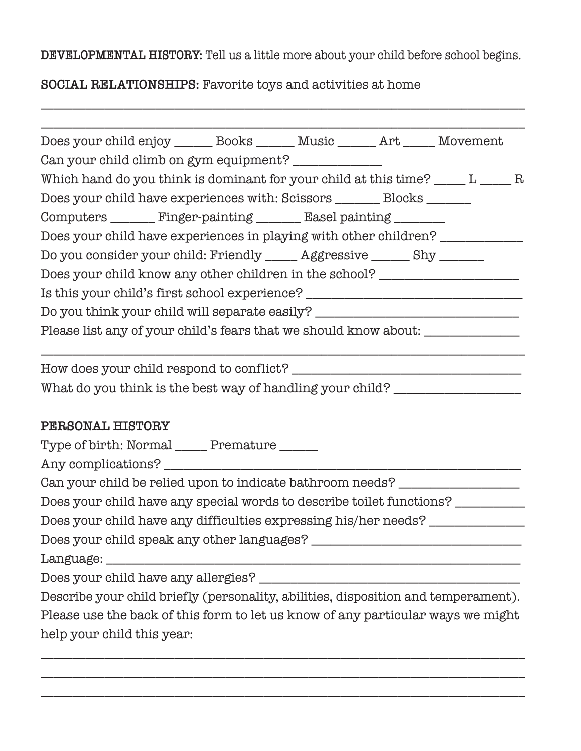**DEVELOPMENTAL HISTORY:** Tell us a little more about your child before school begins.

\_\_\_\_\_\_\_\_\_\_\_\_\_\_\_\_\_\_\_\_\_\_\_\_\_\_\_\_\_\_\_\_\_\_\_\_\_\_\_\_\_\_\_\_\_\_\_\_\_\_\_\_\_\_\_\_\_\_\_\_\_\_\_\_\_\_\_\_\_\_\_\_\_\_\_\_

## **SOCIAL RELATIONSHIPS:** Favorite toys and activities at home

| Does your child enjoy _______ Books _______ Music ______ Art _____ Movement        |  |  |
|------------------------------------------------------------------------------------|--|--|
| Can your child climb on gym equipment? _____________                               |  |  |
| Which hand do you think is dominant for your child at this time? ____ L ____ R     |  |  |
| Does your child have experiences with: Scissors ________ Blocks ______             |  |  |
| Computers ________ Finger-painting _______ Easel painting _______                  |  |  |
| Does your child have experiences in playing with other children? ______________    |  |  |
| Do you consider your child: Friendly _____ Aggressive _____ Shy ______             |  |  |
| Does your child know any other children in the school? _________________________   |  |  |
| Is this your child's first school experience? __________________________________   |  |  |
| Do you think your child will separate easily? __________________________________   |  |  |
| Please list any of your child's fears that we should know about: _______________   |  |  |
|                                                                                    |  |  |
| What do you think is the best way of handling your child? ______________________   |  |  |
| PERSONAL HISTORY                                                                   |  |  |
| Type of birth: Normal ______ Premature ______                                      |  |  |
|                                                                                    |  |  |
| Can your child be relied upon to indicate bathroom needs? ______________________   |  |  |
| Does your child have any special words to describe toilet functions? __________    |  |  |
| Does your child have any difficulties expressing his/her needs? ________________   |  |  |
| Does your child speak any other languages? ____                                    |  |  |
|                                                                                    |  |  |
|                                                                                    |  |  |
| Describe your child briefly (personality, abilities, disposition and temperament). |  |  |
| Please use the back of this form to let us know of any particular ways we might    |  |  |
| help your child this year:                                                         |  |  |

\_\_\_\_\_\_\_\_\_\_\_\_\_\_\_\_\_\_\_\_\_\_\_\_\_\_\_\_\_\_\_\_\_\_\_\_\_\_\_\_\_\_\_\_\_\_\_\_\_\_\_\_\_\_\_\_\_\_\_\_\_\_\_\_\_\_\_\_\_\_\_\_\_\_\_\_ \_\_\_\_\_\_\_\_\_\_\_\_\_\_\_\_\_\_\_\_\_\_\_\_\_\_\_\_\_\_\_\_\_\_\_\_\_\_\_\_\_\_\_\_\_\_\_\_\_\_\_\_\_\_\_\_\_\_\_\_\_\_\_\_\_\_\_\_\_\_\_\_\_\_\_\_

\_\_\_\_\_\_\_\_\_\_\_\_\_\_\_\_\_\_\_\_\_\_\_\_\_\_\_\_\_\_\_\_\_\_\_\_\_\_\_\_\_\_\_\_\_\_\_\_\_\_\_\_\_\_\_\_\_\_\_\_\_\_\_\_\_\_\_\_\_\_\_\_\_\_\_\_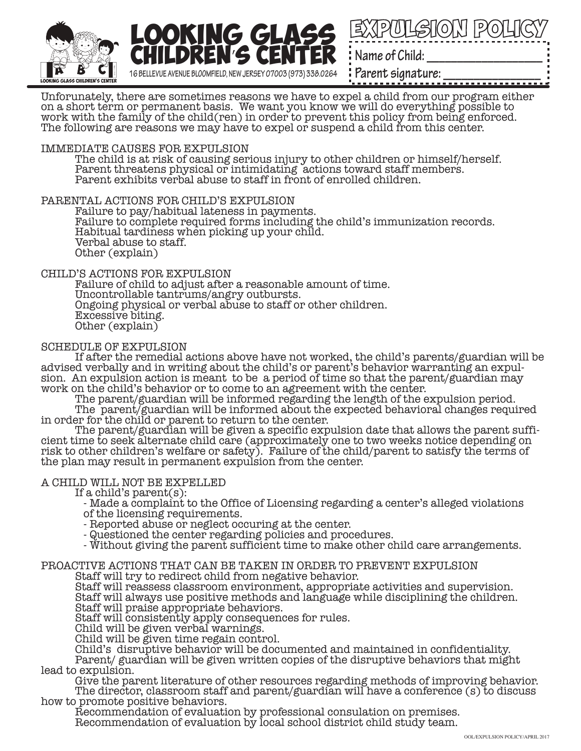



Parent signature:

Unforunately, there are sometimes reasons we have to expel a child from our program either on a short term or permanent basis. We want you know we will do everything possible to work with the family of the child(ren) in order to prevent this policy from being enforced. The following are reasons we may have to expel or suspend a child from this center.

#### IMMEDIATE CAUSES FOR EXPULSION

 The child is at risk of causing serious injury to other children or himself/herself. Parent threatens physical or intimidating actions toward staff members. Parent exhibits verbal abuse to staff in front of enrolled children.

#### PARENTAL ACTIONS FOR CHILD'S EXPULSION

 Failure to pay/habitual lateness in payments. Failure to complete required forms including the child's immunization records. Habitual tardiness when picking up your child. Verbal abuse to staff. Other (explain)

#### CHILD'S ACTIONS FOR EXPULSION

 Failure of child to adjust after a reasonable amount of time. Uncontrollable tantrums/angry outbursts. Ongoing physical or verbal abuse to staff or other children. Excessive biting. Other (explain)

#### SCHEDULE OF EXPULSION

 If after the remedial actions above have not worked, the child's parents/guardian will be sion. An expulsion action is meant to be a period of time so that the parent/guardian may work on the child's behavior or to come to an agreement with the center.

The parent/guardian will be informed regarding the length of the expulsion period.

 The parent/guardian will be informed about the expected behavioral changes required in order for the child or parent to return to the center.<br>The parent/guardian will be given a specific expulsion date that allows the parent suffi-

cient time to seek alternate child care (approximately one to two weeks notice depending on risk to other children's welfare or safety). Failure of the child/parent to satisfy the terms of the plan may result in permanent expulsion from the center.

#### A CHILD WILL NOT BE EXPELLED

If a child's parent $(s)$ :

 - Made a complaint to the Office of Licensing regarding a center's alleged violations of the licensing requirements.

- Reported abuse or neglect occuring at the center.

- Questioned the center regarding policies and procedures.

- Without giving the parent sufficient time to make other child care arrangements.

#### PROACTIVE ACTIONS THAT CAN BE TAKEN IN ORDER TO PREVENT EXPULSION

Staff will try to redirect child from negative behavior.

 Staff will reassess classroom environment, appropriate activities and supervision. Staff will always use positive methods and language while disciplining the children. Staff will praise appropriate behaviors.

Staff will consistently apply consequences for rules.

Child will be given verbal warnings.

Child will be given time regain control.

Child's disruptive behavior will be documented and maintained in confidentiality.

 Parent/ guardian will be given written copies of the disruptive behaviors that might lead to expulsion.

 Give the parent literature of other resources regarding methods of improving behavior. The director, classroom staff and parent/guardian will have a conference (s) to discuss how to promote positive behaviors.

 Recommendation of evaluation by professional consulation on premises. Recommendation of evaluation by local school district child study team.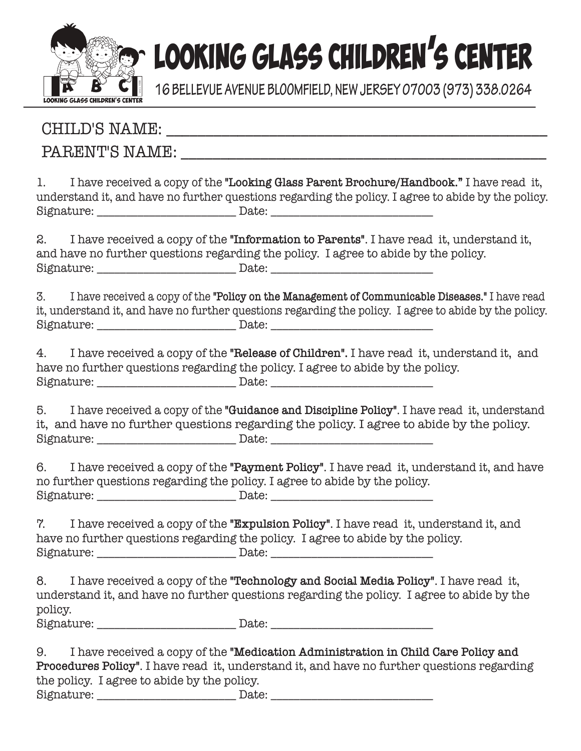

# **EOOKING GLASS CHILDREN'S CENTER**

**16 BELLEVUE AVENUE BLOOMFIELD, NEW JERSEY 07003 (973) 338.0264**

## CHILD'S NAME: \_\_\_\_\_\_\_\_\_\_\_\_\_\_\_\_\_\_\_\_\_\_\_\_\_\_\_\_\_\_\_\_\_\_\_\_\_\_\_\_\_\_\_\_\_\_\_\_

## PARENT'S NAME:

1. I have received a copy of the **"Looking Glass Parent Brochure/Handbook."** I have read it, understand it, and have no further questions regarding the policy. I agree to abide by the policy. Signature: \_\_\_\_\_\_\_\_\_\_\_\_\_\_\_\_\_\_\_\_\_\_\_\_ Date: \_\_\_\_\_\_\_\_\_\_\_\_\_\_\_\_\_\_\_\_\_\_\_\_\_\_\_\_

2. I have received a copy of the **"Information to Parents"**. I have read it, understand it, and have no further questions regarding the policy. I agree to abide by the policy.  $\text{Signature:}\footnotesize \begin{tabular}{|l|l|} \text{Signature:}\footnotesize \end{tabular}$ 

3. I have received a copy of the **"Policy on the Management of Communicable Diseases."** I have read it, understand it, and have no further questions regarding the policy. I agree to abide by the policy. Signature: \_\_\_\_\_\_\_\_\_\_\_\_\_\_\_\_\_\_\_\_\_\_\_\_\_\_\_\_\_\_\_\_ Date: \_\_\_\_\_\_\_\_\_\_\_\_\_\_\_\_\_\_\_\_\_\_\_\_\_\_\_\_\_\_\_

4. I have received a copy of the **"Release of Children".** I have read it, understand it, and have no further questions regarding the policy. I agree to abide by the policy. Signature: \_\_\_\_\_\_\_\_\_\_\_\_\_\_\_\_\_\_\_\_\_\_\_\_ Date: \_\_\_\_\_\_\_\_\_\_\_\_\_\_\_\_\_\_\_\_\_\_\_\_\_\_\_\_

5. I have received a copy of the **"Guidance and Discipline Policy"**. I have read it, understand it, and have no further questions regarding the policy. I agree to abide by the policy. Signature: \_\_\_\_\_\_\_\_\_\_\_\_\_\_\_\_\_\_\_\_\_\_\_\_ Date: \_\_\_\_\_\_\_\_\_\_\_\_\_\_\_\_\_\_\_\_\_\_\_\_\_\_\_\_

6. I have received a copy of the **"Payment Policy"**. I have read it, understand it, and have no further questions regarding the policy. I agree to abide by the policy. Signature: \_\_\_\_\_\_\_\_\_\_\_\_\_\_\_\_\_\_\_\_\_\_\_\_ Date: \_\_\_\_\_\_\_\_\_\_\_\_\_\_\_\_\_\_\_\_\_\_\_\_\_\_\_\_

7. I have received a copy of the **"Expulsion Policy"**. I have read it, understand it, and have no further questions regarding the policy. I agree to abide by the policy. Signature: \_\_\_\_\_\_\_\_\_\_\_\_\_\_\_\_\_\_\_\_\_\_\_\_ Date: \_\_\_\_\_\_\_\_\_\_\_\_\_\_\_\_\_\_\_\_\_\_\_\_\_\_\_\_

8. I have received a copy of the **"Technology and Social Media Policy"**. I have read it, understand it, and have no further questions regarding the policy. I agree to abide by the policy. Signature: \_\_\_\_\_\_\_\_\_\_\_\_\_\_\_\_\_\_\_\_\_\_\_\_\_\_\_\_\_\_\_\_ Date: \_\_\_\_\_\_\_\_\_\_\_\_\_\_\_\_\_\_\_\_\_\_\_\_\_\_\_\_\_\_\_

9. I have received a copy of the **"Medication Administration in Child Care Policy and Procedures Policy"**. I have read it, understand it, and have no further questions regarding the policy. I agree to abide by the policy. Signature: \_\_\_\_\_\_\_\_\_\_\_\_\_\_\_\_\_\_\_\_\_\_\_\_ Date: \_\_\_\_\_\_\_\_\_\_\_\_\_\_\_\_\_\_\_\_\_\_\_\_\_\_\_\_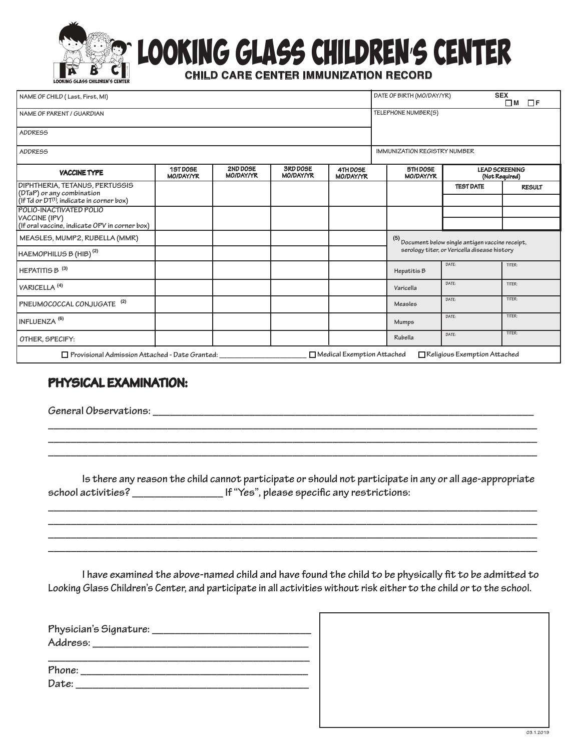

## OOKING GLASS CHILDREN'S CENTER

 **CHILD CARE CENTER IMMUNIZATION RECORD**

| NAME OF CHILD (Last, First, MI)                                                                                |                              |                              |                              |                                   |                              | <b>SEX</b><br>DATE OF BIRTH (MO/DAY/YR)<br>$\Box$ F<br>$\Box$ M                                    |                                         |  |  |
|----------------------------------------------------------------------------------------------------------------|------------------------------|------------------------------|------------------------------|-----------------------------------|------------------------------|----------------------------------------------------------------------------------------------------|-----------------------------------------|--|--|
| NAME OF PARENT / GUARDIAN                                                                                      |                              |                              |                              |                                   | TELEPHONE NUMBER(S)          |                                                                                                    |                                         |  |  |
| ADDRESS                                                                                                        |                              |                              |                              |                                   |                              |                                                                                                    |                                         |  |  |
| <b>ADDRESS</b>                                                                                                 |                              |                              |                              |                                   | IMMUNIZATION REGISTRY NUMBER |                                                                                                    |                                         |  |  |
| <b>VACCINE TYPE</b>                                                                                            | 1ST DOSE<br><b>MO/DAY/YR</b> | 2ND DOSE<br><b>MO/DAY/YR</b> | 3RD DOSE<br><b>MO/DAY/YR</b> | 4TH DOSE<br><b>MO/DAY/YR</b>      | 5TH DOSE<br><b>MO/DAY/YR</b> |                                                                                                    | <b>LEAD SCREENING</b><br>(Not Required) |  |  |
| DIPHTHERIA, TETANUS, PERTUSSIS<br>(DTaP) or any combination<br>$($ If Td or DT $(1)$ , indicate in corner box) |                              |                              |                              |                                   |                              | <b>TEST DATE</b>                                                                                   | <b>RESULT</b>                           |  |  |
| POLIO-INACTIVATED POLIO<br>VACCINE (IPV)<br>(If oral vaccine, indicate OPV in corner box)                      |                              |                              |                              |                                   |                              |                                                                                                    |                                         |  |  |
| MEASLES, MUMP2, RUBELLA (MMR)<br>HAEMOPHILUS B (HIB) <sup>(2)</sup>                                            |                              |                              |                              |                                   |                              | (5) Document below single antigen vaccine receipt,<br>serology titer, or Vericella disease history |                                         |  |  |
| HEPATITIS B <sup>(3)</sup>                                                                                     |                              |                              |                              |                                   | Hepatitis B                  | DATE:                                                                                              | TITER:                                  |  |  |
| VARICELLA <sup>(4)</sup>                                                                                       |                              |                              |                              |                                   | Varicella                    | DATE:                                                                                              | TITER:                                  |  |  |
| PNEUMOCOCCAL CONJUGATE <sup>(2)</sup>                                                                          |                              |                              |                              |                                   | <b>Measles</b>               | DATE:                                                                                              | TITER:                                  |  |  |
| INFLUENZA <sup>(6)</sup>                                                                                       |                              |                              |                              |                                   | Mumps                        | DATE:                                                                                              | TITER:                                  |  |  |
| OTHER, SPECIFY:                                                                                                |                              |                              |                              |                                   | <b>Rubella</b>               | DATE:                                                                                              | TITER:                                  |  |  |
| $\Box$ Provisional Admission Attached - Date Granted:                                                          |                              |                              |                              | $\Box$ Medical Exemption Attached |                              | $\Box$ Religious Exemption Attached                                                                |                                         |  |  |

#### **PHYSICAL EXAMINATION:**

**General Observations: \_\_\_\_\_\_\_\_\_\_\_\_\_\_\_\_\_\_\_\_\_\_\_\_\_\_\_\_\_\_\_\_\_\_\_\_\_\_\_\_\_\_\_\_\_\_\_\_\_\_\_\_\_\_\_\_\_\_\_\_\_\_\_\_\_\_\_**

 **Is there any reason the child cannot participate or should not participate in any or all age-appropriate school activities? \_\_\_\_\_\_\_\_\_\_\_\_\_\_\_\_ If "Yes", please specic any restrictions:**

**\_\_\_\_\_\_\_\_\_\_\_\_\_\_\_\_\_\_\_\_\_\_\_\_\_\_\_\_\_\_\_\_\_\_\_\_\_\_\_\_\_\_\_\_\_\_\_\_\_\_\_\_\_\_\_\_\_\_\_\_\_\_\_\_\_\_\_\_\_\_\_\_\_\_\_\_\_\_\_\_\_\_\_\_\_\_ \_\_\_\_\_\_\_\_\_\_\_\_\_\_\_\_\_\_\_\_\_\_\_\_\_\_\_\_\_\_\_\_\_\_\_\_\_\_\_\_\_\_\_\_\_\_\_\_\_\_\_\_\_\_\_\_\_\_\_\_\_\_\_\_\_\_\_\_\_\_\_\_\_\_\_\_\_\_\_\_\_\_\_\_\_\_ \_\_\_\_\_\_\_\_\_\_\_\_\_\_\_\_\_\_\_\_\_\_\_\_\_\_\_\_\_\_\_\_\_\_\_\_\_\_\_\_\_\_\_\_\_\_\_\_\_\_\_\_\_\_\_\_\_\_\_\_\_\_\_\_\_\_\_\_\_\_\_\_\_\_\_\_\_\_\_\_\_\_\_\_\_\_ \_\_\_\_\_\_\_\_\_\_\_\_\_\_\_\_\_\_\_\_\_\_\_\_\_\_\_\_\_\_\_\_\_\_\_\_\_\_\_\_\_\_\_\_\_\_\_\_\_\_\_\_\_\_\_\_\_\_\_\_\_\_\_\_\_\_\_\_\_\_\_\_\_\_\_\_\_\_\_\_\_\_\_\_\_\_**

**\_\_\_\_\_\_\_\_\_\_\_\_\_\_\_\_\_\_\_\_\_\_\_\_\_\_\_\_\_\_\_\_\_\_\_\_\_\_\_\_\_\_\_\_\_\_\_\_\_\_\_\_\_\_\_\_\_\_\_\_\_\_\_\_\_\_\_\_\_\_\_\_\_\_\_\_\_\_\_\_\_\_\_\_\_\_ \_\_\_\_\_\_\_\_\_\_\_\_\_\_\_\_\_\_\_\_\_\_\_\_\_\_\_\_\_\_\_\_\_\_\_\_\_\_\_\_\_\_\_\_\_\_\_\_\_\_\_\_\_\_\_\_\_\_\_\_\_\_\_\_\_\_\_\_\_\_\_\_\_\_\_\_\_\_\_\_\_\_\_\_\_\_ \_\_\_\_\_\_\_\_\_\_\_\_\_\_\_\_\_\_\_\_\_\_\_\_\_\_\_\_\_\_\_\_\_\_\_\_\_\_\_\_\_\_\_\_\_\_\_\_\_\_\_\_\_\_\_\_\_\_\_\_\_\_\_\_\_\_\_\_\_\_\_\_\_\_\_\_\_\_\_\_\_\_\_\_\_\_**

I have examined the above-named child and have found the child to be physically fit to be admitted to **Looking Glass Children's Center, and participate in all activities without risk either to the child or to the school.**

| Physician's Signature: _                                                                                        |  |
|-----------------------------------------------------------------------------------------------------------------|--|
| Address: Andreas Address and the set of the set of the set of the set of the set of the set of the set of the s |  |
|                                                                                                                 |  |
| Phone:                                                                                                          |  |
| Date:                                                                                                           |  |